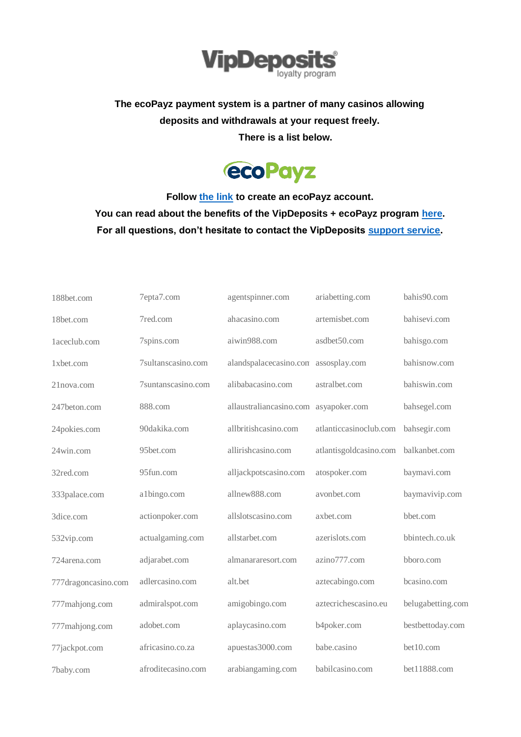

## **The ecoPayz payment system is a partner of many casinos allowing deposits and withdrawals at your request freely. There is a list below.**



**Follow [the link](https://secure.ecopayz.com/Registration.aspx?_atc=kxb17rzagxtafr41u3bokk0at) to create an ecoPayz account. You can read about the benefits of the VipDeposits + ecoPayz program [here.](https://vipdeposits.com/ecopayz/) For all questions, don't hesitate to contact the VipDeposits [support service.](https://vipdeposits.com/contacts)**

| 188bet.com          | 7epta7.com         | agentspinner.com                     | ariabetting.com        | bahis90.com       |
|---------------------|--------------------|--------------------------------------|------------------------|-------------------|
| 18bet.com           | 7red.com           | ahacasino.com                        | artemisbet.com         | bahisevi.com      |
| 1aceclub.com        | 7spins.com         | aiwin988.com                         | asdbet50.com           | bahisgo.com       |
| 1xbet.com           | 7sultanscasino.com | alandspalacecasino.con assosplay.com |                        | bahisnow.com      |
| 21nova.com          | 7suntanscasino.com | alibabacasino.com                    | astralbet.com          | bahiswin.com      |
| 247beton.com        | 888.com            | allaustraliancasino.com              | asyapoker.com          | bahsegel.com      |
| 24pokies.com        | 90dakika.com       | allbritishcasino.com                 | atlanticcasinoclub.com | bahsegir.com      |
| 24win.com           | 95bet.com          | allirishcasino.com                   | atlantisgoldcasino.com | balkanbet.com     |
| 32red.com           | 95fun.com          | alljackpotscasino.com                | atospoker.com          | baymavi.com       |
| 333palace.com       | a1bingo.com        | allnew888.com                        | avonbet.com            | baymavivip.com    |
| 3dice.com           | actionpoker.com    | allslotscasino.com                   | axbet.com              | bbet.com          |
| 532vip.com          | actualgaming.com   | allstarbet.com                       | azerislots.com         | bbintech.co.uk    |
| 724arena.com        | adjarabet.com      | almanararesort.com                   | azino777.com           | bboro.com         |
| 777dragoncasino.com | adlercasino.com    | alt.bet                              | aztecabingo.com        | bcasino.com       |
| 777mahjong.com      | admiralspot.com    | amigobingo.com                       | aztecrichescasino.eu   | belugabetting.com |
| 777mahjong.com      | adobet.com         | aplaycasino.com                      | b4poker.com            | bestbettoday.com  |
| 77jackpot.com       | africasino.co.za   | apuestas3000.com                     | babe.casino            | bet10.com         |
| 7baby.com           | afroditecasino.com | arabiangaming.com                    | babilcasino.com        | bet11888.com      |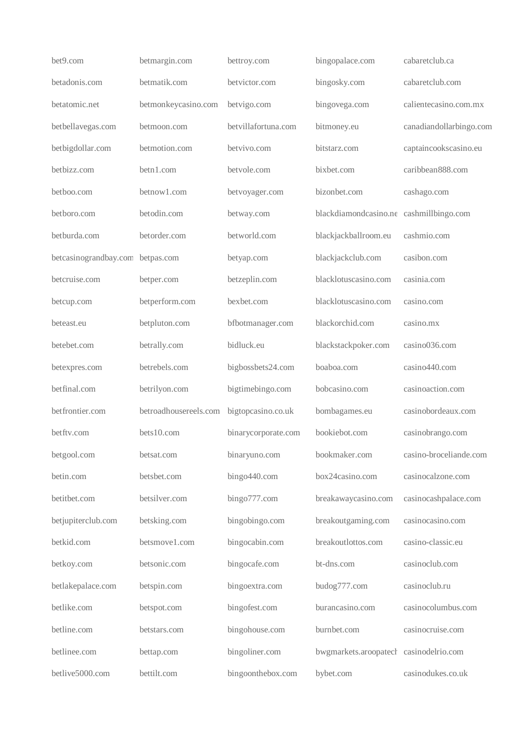| bet9.com              | betmargin.com         | bettroy.com         | bingopalace.com                         | cabaretclub.ca          |
|-----------------------|-----------------------|---------------------|-----------------------------------------|-------------------------|
| betadonis.com         | betmatik.com          | bet victor.com      | bingosky.com                            | cabaretclub.com         |
| betatomic.net         | betmonkeycasino.com   | betvigo.com         | bingovega.com                           | calientecasino.com.mx   |
| betbellavegas.com     | betmoon.com           | betvillafortuna.com | bitmoney.eu                             | canadiandollarbingo.com |
| betbigdollar.com      | betmotion.com         | betvivo.com         | bitstarz.com                            | captaincookscasino.eu   |
| betbizz.com           | betn1.com             | betvole.com         | bixbet.com                              | caribbean888.com        |
| betboo.com            | betnow1.com           | betvoyager.com      | bizonbet.com                            | cashago.com             |
| betboro.com           | betodin.com           | betway.com          | blackdiamondcasino.ne cashmillbingo.com |                         |
| betburda.com          | betorder.com          | betworld.com        | blackjackballroom.eu                    | cashmio.com             |
| betcasinograndbay.com | betpas.com            | betyap.com          | blackjackclub.com                       | casibon.com             |
| betcruise.com         | betper.com            | betzeplin.com       | blacklotuscasino.com                    | casinia.com             |
| betcup.com            | betperform.com        | bexbet.com          | blacklotuscasino.com                    | casino.com              |
| beteast.eu            | betpluton.com         | bfbotmanager.com    | blackorchid.com                         | casino.mx               |
| betebet.com           | betrally.com          | bidluck.eu          | blackstackpoker.com                     | casino036.com           |
| betexpres.com         | betrebels.com         | bigbossbets24.com   | boaboa.com                              | casino440.com           |
| betfinal.com          | betrilyon.com         | bigtimebingo.com    | bobcasino.com                           | casinoaction.com        |
| betfrontier.com       | betroadhousereels.com | bigtopcasino.co.uk  | bombagames.eu                           | casinobordeaux.com      |
| betftv.com            | bets10.com            | binarycorporate.com | bookiebot.com                           | casinobrango.com        |
| betgool.com           | betsat.com            | binaryuno.com       | bookmaker.com                           | casino-broceliande.com  |
| betin.com             | betsbet.com           | bingo440.com        | box24casino.com                         | casinocalzone.com       |
| betitbet.com          | betsilver.com         | bingo777.com        | breakawaycasino.com                     | casinocashpalace.com    |
| betjupiterclub.com    | betsking.com          | bingobingo.com      | breakoutgaming.com                      | casinocasino.com        |
| betkid.com            | betsmove1.com         | bingocabin.com      | breakoutlottos.com                      | casino-classic.eu       |
| betkoy.com            | betsonic.com          | bingocafe.com       | bt-dns.com                              | casinoclub.com          |
| betlakepalace.com     | betspin.com           | bingoextra.com      | budog777.com                            | casinoclub.ru           |
| betlike.com           | betspot.com           | bingofest.com       | burancasino.com                         | casinocolumbus.com      |
| betline.com           | betstars.com          | bingohouse.com      | burnbet.com                             | casinocruise.com        |
| betlinee.com          | bettap.com            | bingoliner.com      | bwgmarkets.aroopatecl casinodelrio.com  |                         |
| betlive5000.com       | bettilt.com           | bingoonthebox.com   | bybet.com                               | casinodukes.co.uk       |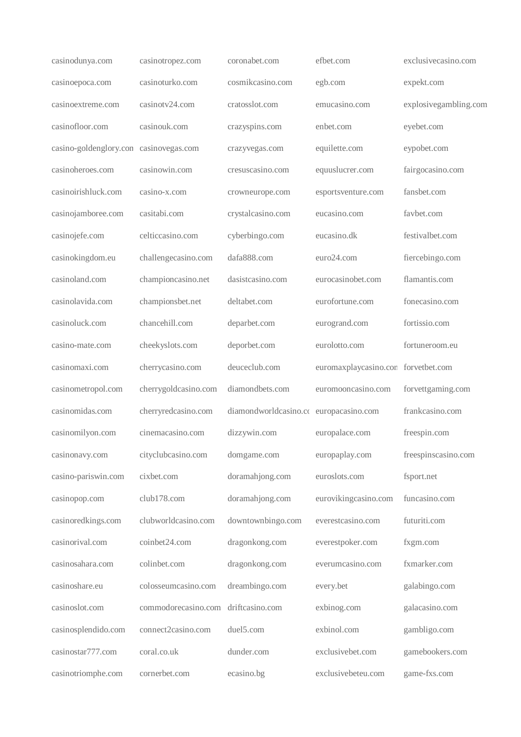| casinodunya.com        | casinotropez.com     | coronabet.com                          | efbet.com                           | exclusivecasino.com   |
|------------------------|----------------------|----------------------------------------|-------------------------------------|-----------------------|
| casinoepoca.com        | casinoturko.com      | cosmikcasino.com                       | egb.com                             | expekt.com            |
| casinoextreme.com      | casinotv24.com       | cratosslot.com                         | emucasino.com                       | explosivegambling.com |
| casinofloor.com        | casinouk.com         | crazyspins.com                         | enbet.com                           | eyebet.com            |
| casino-goldenglory.con | casinovegas.com      | crazyvegas.com                         | equilette.com                       | eypobet.com           |
| casinoheroes.com       | casinowin.com        | cresuscasino.com                       | equuslucrer.com                     | fairgocasino.com      |
| casinoirishluck.com    | casino-x.com         | crowneurope.com                        | esportsventure.com                  | fansbet.com           |
| casinojamboree.com     | casitabi.com         | crystalcasino.com                      | eucasino.com                        | favbet.com            |
| casinojefe.com         | celticcasino.com     | cyberbingo.com                         | eucasino.dk                         | festivalbet.com       |
| casinokingdom.eu       | challengecasino.com  | dafa888.com                            | euro24.com                          | fiercebingo.com       |
| casinoland.com         | championcasino.net   | dasistcasino.com                       | eurocasinobet.com                   | flamantis.com         |
| casinolavida.com       | championsbet.net     | deltabet.com                           | eurofortune.com                     | fonecasino.com        |
| casinoluck.com         | chancehill.com       | deparbet.com                           | eurogrand.com                       | fortissio.com         |
| casino-mate.com        | cheekyslots.com      | deporbet.com                           | eurolotto.com                       | fortuneroom.eu        |
| casinomaxi.com         | cherrycasino.com     | deuceclub.com                          | euromaxplaycasino.con forvetbet.com |                       |
| casinometropol.com     | cherrygoldcasino.com | diamondbets.com                        | euromooncasino.com                  | forvettgaming.com     |
| casinomidas.com        | cherryredcasino.com  | diamondworldcasino.cc europacasino.com |                                     | frankcasino.com       |
| casinomilyon.com       | cinemacasino.com     | dizzywin.com                           | europalace.com                      | freespin.com          |
| casinonavy.com         | cityclubcasino.com   | domgame.com                            | europaplay.com                      | freespinscasino.com   |
| casino-pariswin.com    | cixbet.com           | doramahjong.com                        | euroslots.com                       | fsport.net            |
| casinopop.com          | club178.com          | doramahjong.com                        | eurovikingcasino.com                | funcasino.com         |
| casinoredkings.com     | clubworldcasino.com  | downtownbingo.com                      | everestcasino.com                   | futuriti.com          |
| casinorival.com        | coinbet24.com        | dragonkong.com                         | everestpoker.com                    | fxgm.com              |
| casinosahara.com       | colinbet.com         | dragonkong.com                         | everumcasino.com                    | fxmarker.com          |
| casinoshare.eu         | colosseumcasino.com  | dreambingo.com                         | every.bet                           | galabingo.com         |
| casinoslot.com         | commodorecasino.com  | driftcasino.com                        | exbinog.com                         | galacasino.com        |
| casinosplendido.com    | connect2casino.com   | duel5.com                              | exbinol.com                         | gambligo.com          |
| casinostar777.com      | coral.co.uk          | dunder.com                             | exclusivebet.com                    | gamebookers.com       |
| casinotriomphe.com     | cornerbet.com        | ecasino.bg                             | exclusivebeteu.com                  | game-fxs.com          |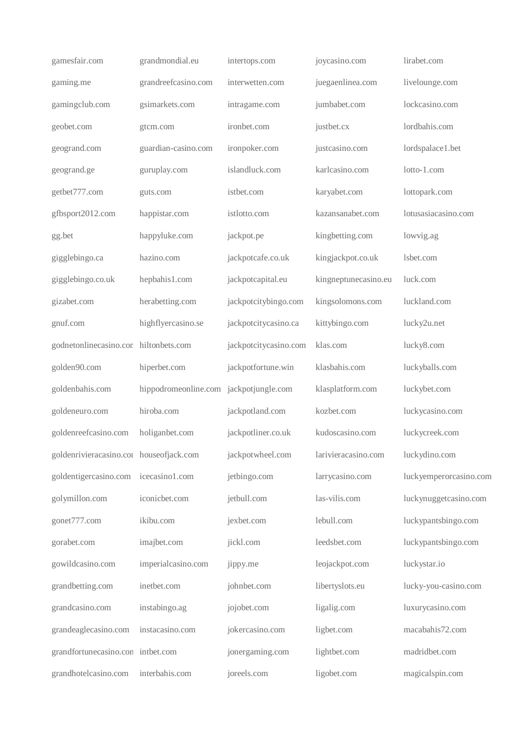| gamesfair.com                           | grandmondial.eu                        | intertops.com         | joycasino.com        | lirabet.com            |
|-----------------------------------------|----------------------------------------|-----------------------|----------------------|------------------------|
| gaming.me                               | grandreefcasino.com                    | interwetten.com       | juegaenlinea.com     | livelounge.com         |
| gamingclub.com                          | gsimarkets.com                         | intragame.com         | jumbabet.com         | lockcasino.com         |
| geobet.com                              | gtcm.com                               | ironbet.com           | justbet.cx           | lordbahis.com          |
| geogrand.com                            | guardian-casino.com                    | ironpoker.com         | justcasino.com       | lordspalace1.bet       |
| geogrand.ge                             | guruplay.com                           | islandluck.com        | karlcasino.com       | lotto-1.com            |
| getbet777.com                           | guts.com                               | istbet.com            | karyabet.com         | lottopark.com          |
| gfbsport2012.com                        | happistar.com                          | istlotto.com          | kazansanabet.com     | lotusasiacasino.com    |
| gg.bet                                  | happyluke.com                          | jackpot.pe            | kingbetting.com      | lowvig.ag              |
| gigglebingo.ca                          | hazino.com                             | jackpotcafe.co.uk     | kingjackpot.co.uk    | lsbet.com              |
| gigglebingo.co.uk                       | hepbahis1.com                          | jackpotcapital.eu     | kingneptunecasino.eu | luck.com               |
| gizabet.com                             | herabetting.com                        | jackpotcitybingo.com  | kingsolomons.com     | luckland.com           |
| gnuf.com                                | highflyercasino.se                     | jackpotcitycasino.ca  | kittybingo.com       | lucky2u.net            |
| godnetonlinecasino.con hiltonbets.com   |                                        | jackpotcitycasino.com | klas.com             | lucky8.com             |
| golden90.com                            | hiperbet.com                           | jackpotfortune.win    | klasbahis.com        | luckyballs.com         |
| goldenbahis.com                         | hippodromeonline.com jackpotjungle.com |                       | klasplatform.com     | luckybet.com           |
| goldeneuro.com                          | hiroba.com                             | jackpotland.com       | kozbet.com           | luckycasino.com        |
| goldenreefcasino.com                    | holiganbet.com                         | jackpotliner.co.uk    | kudoscasino.com      | luckycreek.com         |
| goldenrivieracasino.cor houseofjack.com |                                        | jackpotwheel.com      | larivieracasino.com  | luckydino.com          |
| goldentigercasino.com icecasino1.com    |                                        | jetbingo.com          | larrycasino.com      | luckyemperorcasino.com |
| golymillon.com                          | iconicbet.com                          | jetbull.com           | las-vilis.com        | luckynuggetcasino.com  |
| gonet777.com                            | ikibu.com                              | jexbet.com            | lebull.com           | luckypantsbingo.com    |
| gorabet.com                             | imajbet.com                            | jickl.com             | leedsbet.com         | luckypantsbingo.com    |
| gowildcasino.com                        | imperialcasino.com                     | jippy.me              | leojackpot.com       | luckystar.io           |
| grandbetting.com                        | inetbet.com                            | johnbet.com           | libertyslots.eu      | lucky-you-casino.com   |
| grandcasino.com                         | instabingo.ag                          | jojobet.com           | ligalig.com          | luxurycasino.com       |
| grandeaglecasino.com                    | instacasino.com                        | jokercasino.com       | ligbet.com           | macabahis72.com        |
| grandfortunecasino.con intbet.com       |                                        | jonergaming.com       | lightbet.com         | madridbet.com          |
| grandhotelcasino.com                    | interbahis.com                         | joreels.com           | ligobet.com          | magicalspin.com        |
|                                         |                                        |                       |                      |                        |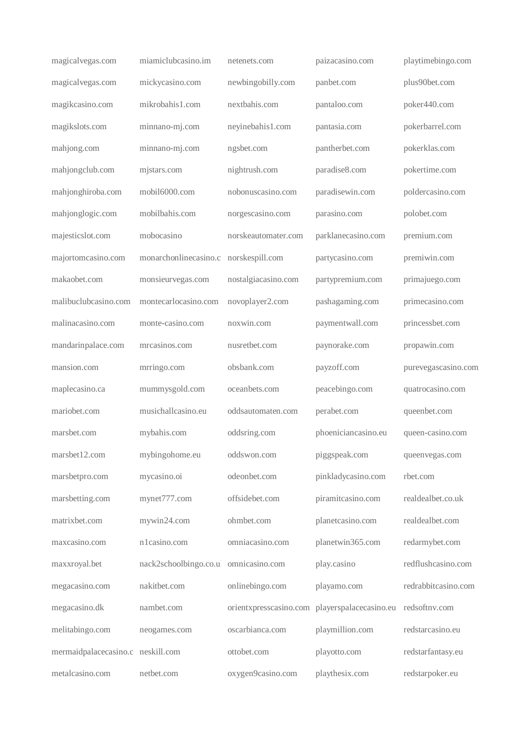| magicalvegas.com                  | miamiclubcasino.im                    | netenets.com        | paizacasino.com                               | playtimebingo.com   |
|-----------------------------------|---------------------------------------|---------------------|-----------------------------------------------|---------------------|
| magicalvegas.com                  | mickycasino.com                       | newbingobilly.com   | panbet.com                                    | plus90bet.com       |
| magikcasino.com                   | mikrobahis1.com                       | nextbahis.com       | pantaloo.com                                  | poker440.com        |
| magikslots.com                    | minnano-mj.com                        | neyinebahis1.com    | pantasia.com                                  | pokerbarrel.com     |
| mahjong.com                       | minnano-mj.com                        | ngsbet.com          | pantherbet.com                                | pokerklas.com       |
| mahjongclub.com                   | mjstars.com                           | nightrush.com       | paradise8.com                                 | pokertime.com       |
| mahjonghiroba.com                 | mobil6000.com                         | nobonuscasino.com   | paradisewin.com                               | poldercasino.com    |
| mahjonglogic.com                  | mobilbahis.com                        | norgescasino.com    | parasino.com                                  | polobet.com         |
| majesticslot.com                  | mobocasino                            | norskeautomater.com | parklanecasino.com                            | premium.com         |
| majortomcasino.com                | monarchonlinecasino.c norskespill.com |                     | partycasino.com                               | premiwin.com        |
| makaobet.com                      | monsieurvegas.com                     | nostalgiacasino.com | partypremium.com                              | primajuego.com      |
| malibuclubcasino.com              | montecarlocasino.com                  | novoplayer2.com     | pashagaming.com                               | primecasino.com     |
| malinacasino.com                  | monte-casino.com                      | noxwin.com          | paymentwall.com                               | princessbet.com     |
| mandarinpalace.com                | mrcasinos.com                         | nusretbet.com       | paynorake.com                                 | propawin.com        |
| mansion.com                       | mrringo.com                           | obsbank.com         | payzoff.com                                   | purevegascasino.com |
| maplecasino.ca                    | mummysgold.com                        | oceanbets.com       | peacebingo.com                                | quatrocasino.com    |
| mariobet.com                      | musichallcasino.eu                    | oddsautomaten.com   | perabet.com                                   | queenbet.com        |
| marsbet.com                       | mybahis.com                           | oddsring.com        | phoeniciancasino.eu                           | queen-casino.com    |
| marsbet12.com                     | mybingohome.eu                        | oddswon.com         | piggspeak.com                                 | queenvegas.com      |
| marsbetpro.com                    | mycasino.oi                           | odeonbet.com        | pinkladycasino.com                            | rbet.com            |
| marsbetting.com                   | mynet777.com                          | offsidebet.com      | piramitcasino.com                             | realdealbet.co.uk   |
| matrixbet.com                     | mywin24.com                           | ohmbet.com          | planetcasino.com                              | realdealbet.com     |
| maxcasino.com                     | n1casino.com                          | omniacasino.com     | planetwin365.com                              | redarmybet.com      |
| maxxroyal.bet                     | nack2schoolbingo.co.ul omnicasino.com |                     | play.casino                                   | redflushcasino.com  |
| megacasino.com                    | nakitbet.com                          | onlinebingo.com     | playamo.com                                   | redrabbitcasino.com |
| megacasino.dk                     | nambet.com                            |                     | orientxpresscasino.com playerspalacecasino.eu | redsoftnv.com       |
| melitabingo.com                   | neogames.com                          | oscarbianca.com     | playmillion.com                               | redstarcasino.eu    |
| mermaidpalacecasino.c neskill.com |                                       | ottobet.com         | playotto.com                                  | redstarfantasy.eu   |
| metalcasino.com                   | netbet.com                            | oxygen9casino.com   | playthesix.com                                | redstarpoker.eu     |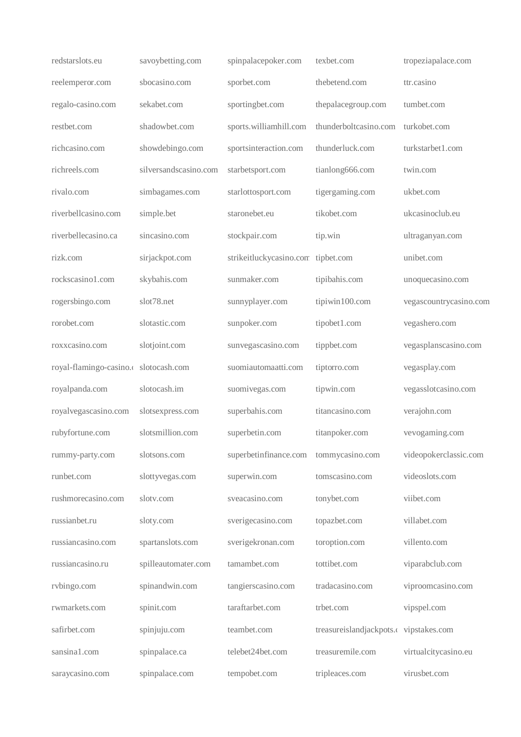| redstarslots.eu                       | savoybetting.com      | spinpalacepoker.com                | texbet.com                             | tropeziapalace.com     |
|---------------------------------------|-----------------------|------------------------------------|----------------------------------------|------------------------|
| reelemperor.com                       | sbocasino.com         | sporbet.com                        | thebetend.com                          | ttr.casino             |
| regalo-casino.com                     | sekabet.com           | sportingbet.com                    | thepalacegroup.com                     | tumbet.com             |
| restbet.com                           | shadowbet.com         | sports.williamhill.com             | thunderboltcasino.com                  | turkobet.com           |
| richcasino.com                        | showdebingo.com       | sportsinteraction.com              | thunderluck.com                        | turkstarbet1.com       |
| richreels.com                         | silversandscasino.com | starbetsport.com                   | tianlong666.com                        | twin.com               |
| rivalo.com                            | simbagames.com        | starlottosport.com                 | tigergaming.com                        | ukbet.com              |
| riverbellcasino.com                   | simple.bet            | staronebet.eu                      | tikobet.com                            | ukcasinoclub.eu        |
| riverbellecasino.ca                   | sincasino.com         | stockpair.com                      | tip.win                                | ultraganyan.com        |
| rizk.com                              | sirjackpot.com        | strikeitluckycasino.com tipbet.com |                                        | unibet.com             |
| rockscasino1.com                      | skybahis.com          | sunmaker.com                       | tipibahis.com                          | unoquecasino.com       |
| rogersbingo.com                       | slot78.net            | sunnyplayer.com                    | tipiwin100.com                         | vegascountrycasino.com |
| rorobet.com                           | slotastic.com         | sunpoker.com                       | tipobet1.com                           | vegashero.com          |
| roxxcasino.com                        | slotjoint.com         | sunvegascasino.com                 | tippbet.com                            | vegasplanscasino.com   |
| royal-flamingo-casino.c slotocash.com |                       | suomiautomaatti.com                | tiptorro.com                           | vegasplay.com          |
| royalpanda.com                        | slotocash.im          | suomivegas.com                     | tipwin.com                             | vegasslotcasino.com    |
| royalvegascasino.com                  | slotsexpress.com      | superbahis.com                     | titancasino.com                        | verajohn.com           |
| rubyfortune.com                       | slotsmillion.com      | superbetin.com                     | titanpoker.com                         | vevogaming.com         |
| rummy-party.com                       | slotsons.com          | superbetinfinance.com              | tommycasino.com                        | videopokerclassic.com  |
| runbet.com                            | slottyvegas.com       | superwin.com                       | tomscasino.com                         | videoslots.com         |
| rushmorecasino.com                    | slotv.com             | sveacasino.com                     | tonybet.com                            | viibet.com             |
| russianbet.ru                         | sloty.com             | sverigecasino.com                  | topazbet.com                           | villabet.com           |
| russiancasino.com                     | spartanslots.com      | sverigekronan.com                  | toroption.com                          | villento.com           |
| russiancasino.ru                      | spilleautomater.com   | tamambet.com                       | tottibet.com                           | viparabclub.com        |
| rvbingo.com                           | spinandwin.com        | tangierscasino.com                 | tradacasino.com                        | viproomcasino.com      |
| rwmarkets.com                         | spinit.com            | taraftarbet.com                    | trbet.com                              | vipspel.com            |
| safirbet.com                          | spinjuju.com          | teambet.com                        | treasureislandjackpots.c vipstakes.com |                        |
| sansinal.com                          | spinpalace.ca         | telebet24bet.com                   | treasuremile.com                       | virtualcitycasino.eu   |
| saraycasino.com                       | spinpalace.com        | tempobet.com                       | tripleaces.com                         | virusbet.com           |